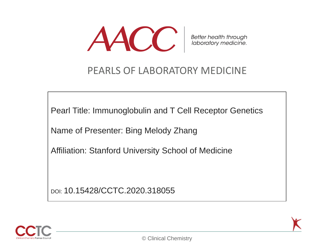

Better health through<br>laboratory medicine.

#### PEARLS OF LABORATORY MEDICINE

Pearl Title: Immunoglobulin and T Cell Receptor Genetics

Name of Presenter: Bing Melody Zhang

Affiliation: Stanford University School of Medicine

DOI: 10.15428/CCTC.2020.318055

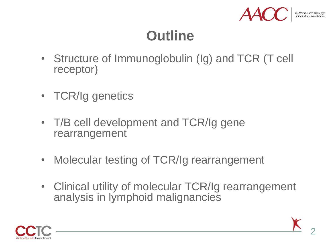

# **Outline**

- Structure of Immunoglobulin (Ig) and TCR (T cell receptor)
- TCR/Ig genetics
- T/B cell development and TCR/Ig gene rearrangement
- Molecular testing of TCR/Ig rearrangement
- Clinical utility of molecular TCR/Ig rearrangement analysis in lymphoid malignancies

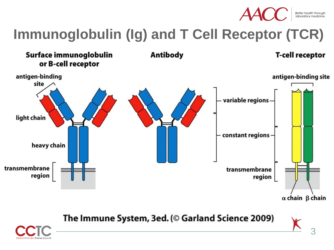

Better health through<br>Iaboratory medicine

3

# **Immunoglobulin (Ig) and T Cell Receptor (TCR)**



The Immune System, 3ed. (© Garland Science 2009)

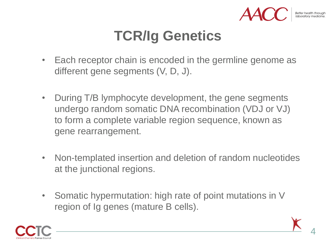

# **TCR/Ig Genetics**

- Each receptor chain is encoded in the germline genome as different gene segments (V, D, J).
- During T/B lymphocyte development, the gene segments undergo random somatic DNA recombination (VDJ or VJ) to form a complete variable region sequence, known as gene rearrangement.
- Non-templated insertion and deletion of random nucleotides at the junctional regions.
- Somatic hypermutation: high rate of point mutations in V region of Ig genes (mature B cells).

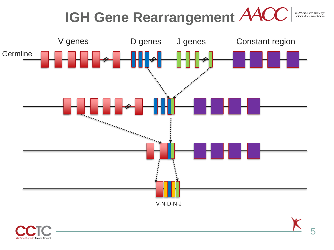



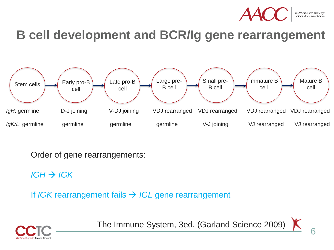

#### **B cell development and BCR/Ig gene rearrangement**



Order of gene rearrangements:

 $IGH \rightarrow IGK$ 

If *IGK* rearrangement fails → *IGL* gene rearrangement



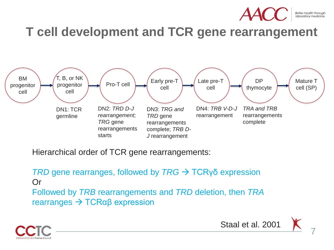

**T cell development and TCR gene rearrangement**



Hierarchical order of TCR gene rearrangements:

*TRD* gene rearranges, followed by *TRG* → TCRγδ expression Or Followed by *TRB* rearrangements and *TRD* deletion, then *TRA*  rearranges → TCRαβ expression



Staal et al. 2001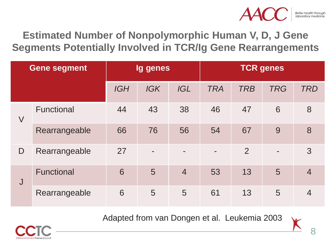

**Estimated Number of Nonpolymorphic Human V, D, J Gene Segments Potentially Involved in TCR/Ig Gene Rearrangements**

| <b>Gene segment</b> |                   | <b>Ig genes</b> |            |                | <b>TCR</b> genes |                |            |                |  |
|---------------------|-------------------|-----------------|------------|----------------|------------------|----------------|------------|----------------|--|
|                     |                   | <b>IGH</b>      | <b>IGK</b> | <b>IGL</b>     | <b>TRA</b>       | <b>TRB</b>     | <b>TRG</b> | <b>TRD</b>     |  |
| $\bigvee$           | <b>Functional</b> | 44              | 43         | 38             | 46               | 47             | 6          | 8              |  |
|                     | Rearrangeable     | 66              | 76         | 56             | 54               | 67             | 9          | 8              |  |
| $\mathsf{D}$        | Rearrangeable     | 27              |            |                |                  | $\overline{2}$ |            | 3              |  |
| J                   | <b>Functional</b> | 6               | 5          | $\overline{4}$ | 53               | 13             | 5          | $\overline{4}$ |  |
|                     | Rearrangeable     | 6               | 5          | 5              | 61               | 13             | 5          | $\overline{4}$ |  |

Adapted from van Dongen et al. Leukemia 2003

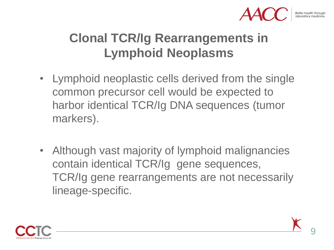

## **Clonal TCR/Ig Rearrangements in Lymphoid Neoplasms**

- Lymphoid neoplastic cells derived from the single common precursor cell would be expected to harbor identical TCR/Ig DNA sequences (tumor markers).
- Although vast majority of lymphoid malignancies contain identical TCR/Ig gene sequences, TCR/Ig gene rearrangements are not necessarily lineage-specific.



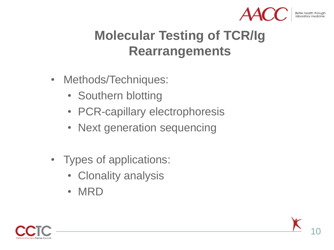

# **Molecular Testing of TCR/Ig Rearrangements**

- Methods/Techniques:
	- Southern blotting
	- PCR-capillary electrophoresis
	- Next generation sequencing
- Types of applications:
	- Clonality analysis
	- MRD



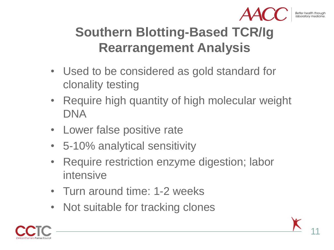

# **Southern Blotting-Based TCR/Ig Rearrangement Analysis**

- Used to be considered as gold standard for clonality testing
- Require high quantity of high molecular weight DNA
- Lower false positive rate
- 5-10% analytical sensitivity
- Require restriction enzyme digestion; labor intensive
- Turn around time: 1-2 weeks
- Not suitable for tracking clones



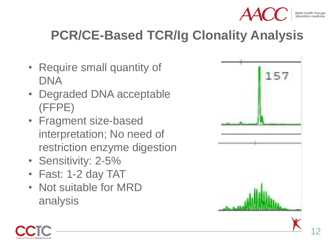

# **PCR/CE-Based TCR/Ig Clonality Analysis**

- Require small quantity of DNA
- Degraded DNA acceptable (FFPE)
- Fragment size-based interpretation; No need of restriction enzyme digestion
- Sensitivity: 2-5%
- Fast: 1-2 day TAT
- Not suitable for MRD analysis





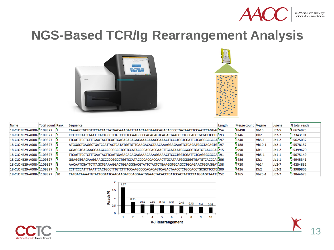

Better health through<br>laboratory medicine.

#### **NGS-Based TCR/Ig Rearrangement Analysis**





| Name                    | <b>Total count Rank</b> |           | Sequence                                                                                         | Length | Merge count V-gene |                  | J-gene  | % total reads |
|-------------------------|-------------------------|-----------|--------------------------------------------------------------------------------------------------|--------|--------------------|------------------|---------|---------------|
| 18-CLONE29-A008-1109327 |                         |           | CAAAGCTGCTGTTCCACTACTATGACAAAGATTTTAACAATGAAGCAGACACCCCTGATAACTTCCAATCCAGGA('254                 |        | 18498              | Vb15             | $Jb2-5$ | 1.6674975     |
| 18-CLONE29-A008-1109327 |                         |           | CCTTCCCATTTTAATTCACTGCCTTTGTCTTTTCCAAGCCCCACACAGTCAGACTAACCTCTGCCACCTGCGCTTCCTG <sup>7</sup> 193 |        | 8146               | D <sub>b</sub> 2 | $Jb2-7$ | 0.7343191     |
| 18-CLONE29-A008-1109327 |                         |           | TTCAGTTCCTCTTTGAATACTTCAGTGAGACACAGAGAAACAAAGGAAACTTCCCTGGTCGATTCTCAGGGCGCCA <sup>7</sup> 197    |        | 6240               | $Vb5-1$          | $Jb1-2$ | 0.5625032     |
| 18-CLONE29-A008-1109327 |                         |           | ATGGGCTGAGGCTGATCCATTACTCATATGGTGTTCAAGACACTAACAAAGGAGAAGTCTCAGATGGCTACAGTG <sup>7</sup> 197     |        | 6188               | Vb10-1           | $Jb2-1$ | 0.5578157     |
| 18-CLONE29-A008-1109327 |                         |           | GGAGGTGAGAAGGAAGCCCCCCGGCCTGGTCCATACCCCACCACCAACTTGCATAATGGGGGGTGATGTCACCCA(215                  |        | 5990               | D <sub>b1</sub>  | $Jb1-2$ | 0.5399670     |
| 18-CLONE29-A008-1109327 |                         | l'6       | TTCAGTTCCTCTTTGAATACTTCAGTGAGACACAGAGAAACAAAGGAAACTTCCCTGGTCGATTCTCAGGGCGCCA <sup>7</sup> 191    |        | 5630               | $Vb5-1$          | $Jb1-1$ | 0.5075149     |
| 18-CLONE29-A008-1109327 |                         |           | GGAGGTGAGAAGGAAGCCCCCGGCCTGGTCCATACCCCACCACCAACTTGCATAATGGGGGGTGATGTCACCCA('206                  |        | 5486               | D <sub>b1</sub>  | $Jb1-1$ | 0.4945341     |
| 18-CLONE29-A008-1109327 |                         | <b>R</b>  | AACAATCGATTCTTAGCTGAAAGGACTGGAGGGACGTATTCTACTCTGAAGGTGCAGCCTGCAGAACTGGAGGAT138                   |        | 4720               | Vb14             | $Jb2-7$ | 0.4254832     |
| 18-CLONE29-A008-1109327 |                         | <b>PQ</b> | CCTTCCCATTTTAATTCACTGCCTTTGTCTTTTCCAAGCCCCACACAGTCAGACTAACCTCTGCCACCTGCGCTTCCTG700               |        | 4426               | D <sub>b</sub> 2 | $Jb2-2$ | 0.3989806     |
| 18-CLONE29-A008-1109327 |                         | 10        | CATGACAAAATGTACTGGTATCAACAAGATCCAGGAATGGAACTACACCTCATCCACTATTCCTATGGAGTTAATT252                  |        | 4265               | Vb25-1           | $Jb2-7$ | 0.3844673     |



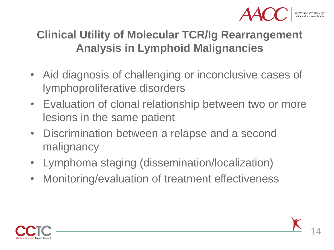

#### **Clinical Utility of Molecular TCR/Ig Rearrangement Analysis in Lymphoid Malignancies**

- Aid diagnosis of challenging or inconclusive cases of lymphoproliferative disorders
- Evaluation of clonal relationship between two or more lesions in the same patient
- Discrimination between a relapse and a second malignancy
- Lymphoma staging (dissemination/localization)
- Monitoring/evaluation of treatment effectiveness

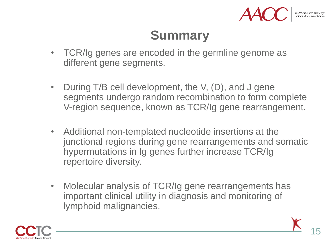

## **Summary**

- TCR/Ig genes are encoded in the germline genome as different gene segments.
- During T/B cell development, the V, (D), and J gene segments undergo random recombination to form complete V-region sequence, known as TCR/Ig gene rearrangement.
- Additional non-templated nucleotide insertions at the junctional regions during gene rearrangements and somatic hypermutations in Ig genes further increase TCR/Ig repertoire diversity.
- Molecular analysis of TCR/Ig gene rearrangements has important clinical utility in diagnosis and monitoring of lymphoid malignancies.

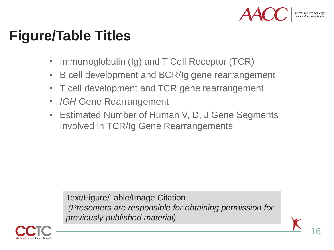

# **Figure/Table Titles**

- Immunoglobulin (Ig) and T Cell Receptor (TCR)
- B cell development and BCR/Ig gene rearrangement
- T cell development and TCR gene rearrangement
- *IGH* Gene Rearrangement
- Estimated Number of Human V, D, J Gene Segments Involved in TCR/Ig Gene Rearrangements

Text/Figure/Table/Image Citation *(Presenters are responsible for obtaining permission for previously published material)*

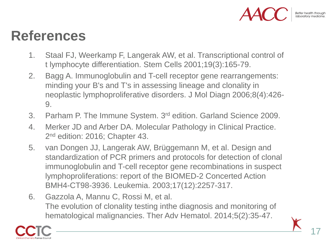

## **References**

- 1. Staal FJ, Weerkamp F, Langerak AW, et al. Transcriptional control of t lymphocyte differentiation. Stem Cells 2001;19(3):165-79.
- 2. Bagg A. Immunoglobulin and T-cell receptor gene rearrangements: minding your B's and T's in assessing lineage and clonality in neoplastic lymphoproliferative disorders. J Mol Diagn 2006;8(4):426- 9.
- 3. Parham P. The Immune System. 3<sup>rd</sup> edition. Garland Science 2009.
- 4. Merker JD and Arber DA. Molecular Pathology in Clinical Practice. 2<sup>nd</sup> edition: 2016; Chapter 43.
- 5. van Dongen JJ, Langerak AW, Brüggemann M, et al. Design and standardization of PCR primers and protocols for detection of clonal immunoglobulin and T-cell receptor gene recombinations in suspect lymphoproliferations: report of the BIOMED-2 Concerted Action BMH4-CT98-3936. Leukemia. 2003;17(12):2257-317.
- 6. Gazzola A, Mannu C, Rossi M, et al. The evolution of clonality testing inthe diagnosis and monitoring of hematological malignancies. Ther Adv Hematol. 2014;5(2):35-47.

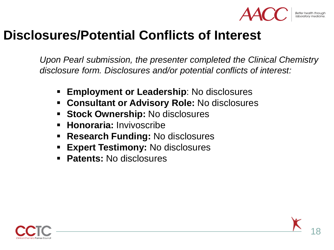

#### **Disclosures/Potential Conflicts of Interest**

*Upon Pearl submission, the presenter completed the Clinical Chemistry disclosure form. Disclosures and/or potential conflicts of interest:*

- **Employment or Leadership**: No disclosures
- **Consultant or Advisory Role:** No disclosures
- **Stock Ownership:** No disclosures
- **Honoraria: Invivoscribe**
- **Research Funding:** No disclosures
- **Expert Testimony:** No disclosures
- **Patents: No disclosures**